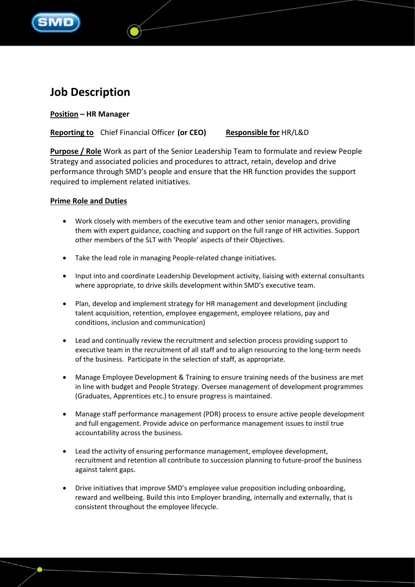

# **Job Description**

## **Position – HR Manager**

**Reporting to** Chief Financial Officer **(or CEO) Responsible for** HR/L&D

**Purpose / Role** Work as part of the Senior Leadership Team to formulate and review People Strategy and associated policies and procedures to attract, retain, develop and drive performance through SMD's people and ensure that the HR function provides the support required to implement related initiatives.

### **Prime Role and Duties**

- Work closely with members of the executive team and other senior managers, providing them with expert guidance, coaching and support on the full range of HR activities. Support other members of the SLT with 'People' aspects of their Objectives.
- Take the lead role in managing People-related change initiatives.
- Input into and coordinate Leadership Development activity, liaising with external consultants where appropriate, to drive skills development within SMD's executive team.
- Plan, develop and implement strategy for HR management and development (including talent acquisition, retention, employee engagement, employee relations, pay and conditions, inclusion and communication)
- Lead and continually review the recruitment and selection process providing support to executive team in the recruitment of all staff and to align resourcing to the long-term needs of the business. Participate in the selection of staff, as appropriate.
- Manage Employee Development & Training to ensure training needs of the business are met in line with budget and People Strategy. Oversee management of development programmes (Graduates, Apprentices etc.) to ensure progress is maintained.
- Manage staff performance management (PDR) process to ensure active people development and full engagement. Provide advice on performance management issues to instil true accountability across the business.
- Lead the activity of ensuring performance management, employee development, recruitment and retention all contribute to succession planning to future-proof the business against talent gaps.
- Drive initiatives that improve SMD's employee value proposition including onboarding, reward and wellbeing. Build this into Employer branding, internally and externally, that is consistent throughout the employee lifecycle.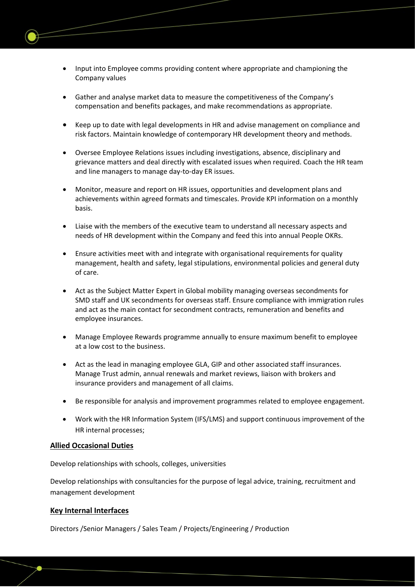- Input into Employee comms providing content where appropriate and championing the Company values
- Gather and analyse market data to measure the competitiveness of the Company's compensation and benefits packages, and make recommendations as appropriate.
- Keep up to date with legal developments in HR and advise management on compliance and risk factors. Maintain knowledge of contemporary HR development theory and methods.
- Oversee Employee Relations issues including investigations, absence, disciplinary and grievance matters and deal directly with escalated issues when required. Coach the HR team and line managers to manage day-to-day ER issues.
- Monitor, measure and report on HR issues, opportunities and development plans and achievements within agreed formats and timescales. Provide KPI information on a monthly basis.
- Liaise with the members of the executive team to understand all necessary aspects and needs of HR development within the Company and feed this into annual People OKRs.
- Ensure activities meet with and integrate with organisational requirements for quality management, health and safety, legal stipulations, environmental policies and general duty of care.
- Act as the Subject Matter Expert in Global mobility managing overseas secondments for SMD staff and UK secondments for overseas staff. Ensure compliance with immigration rules and act as the main contact for secondment contracts, remuneration and benefits and employee insurances.
- Manage Employee Rewards programme annually to ensure maximum benefit to employee at a low cost to the business.
- Act as the lead in managing employee GLA, GIP and other associated staff insurances. Manage Trust admin, annual renewals and market reviews, liaison with brokers and insurance providers and management of all claims.
- Be responsible for analysis and improvement programmes related to employee engagement.
- Work with the HR Information System (IFS/LMS) and support continuous improvement of the HR internal processes;

### **Allied Occasional Duties**

Develop relationships with schools, colleges, universities

Develop relationships with consultancies for the purpose of legal advice, training, recruitment and management development

#### **Key Internal Interfaces**

Directors /Senior Managers / Sales Team / Projects/Engineering / Production